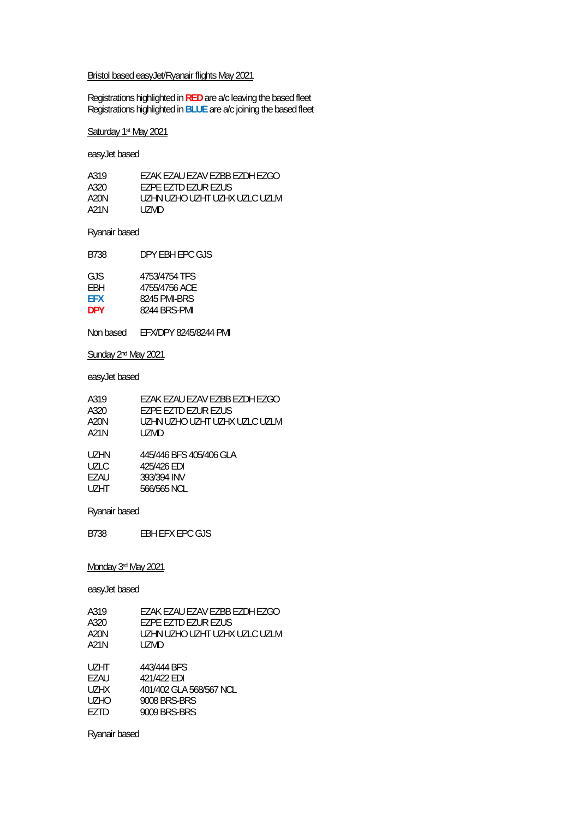#### Bristol based easyJet/Ryanair flights May 2021

Registrations highlighted in **RED** are a/c leaving the based fleet Registrations highlighted in **BLUE** are a/c joining the based fleet

#### Saturday 1st May 2021

easyJet based

| A319 | FZAK FZAU FZAV FZBB FZDH FZGO |
|------|-------------------------------|
| A320 | <b>F7PF F7TD F7UR F7US</b>    |
| A20N | UZHN UZHO UZHT UZHX UZLC UZLM |
| A21N | UZMD.                         |

#### Ryanair based

| B738 | DPY EBH EPC GJS |
|------|-----------------|
|      |                 |

| 4753/4754 TFS |
|---------------|
| 4755/4756 ACE |
| 8245 PMI-BRS  |
| 8244 BRS-PMI  |
|               |

Non based EFX/DPY 8245/8244 PMI

#### Sunday 2<sup>nd</sup> May 2021

### easyJet based

| A319<br>A320<br>A20N<br>A21N | FZAK FZAU FZAV FZBB FZDH FZGO<br>F7PF F7TD F7UR F7US<br>UZHN UZHO UZHT UZHX UZLC UZLM<br>UZMD. |
|------------------------------|------------------------------------------------------------------------------------------------|
| UZHN                         | 445/446 BFS 405/406 GLA                                                                        |
| UZLC                         | 425/426 EDI                                                                                    |
| F7AU                         | 393/394 INV                                                                                    |
| <b>UZHT</b>                  | 566/565 NCL                                                                                    |

#### Ryanair based

B738 EBH EFX EPC GJS

#### Monday 3rd May 2021

easyJet based

| EZAK EZAU EZAV EZBB EZDH EZGO |
|-------------------------------|
| EZPE EZTD EZUR EZUS           |
| UZHN UZHO UZHT UZHX UZLC UZLM |
| UZMD                          |
|                               |
| 443/444 BFS                   |
| 421/422 EDI                   |
| 401/402 GLA 568/567 NCL       |
| 9008 BRS-BRS                  |
| 9009 BRS-BRS                  |
|                               |

Ryanair based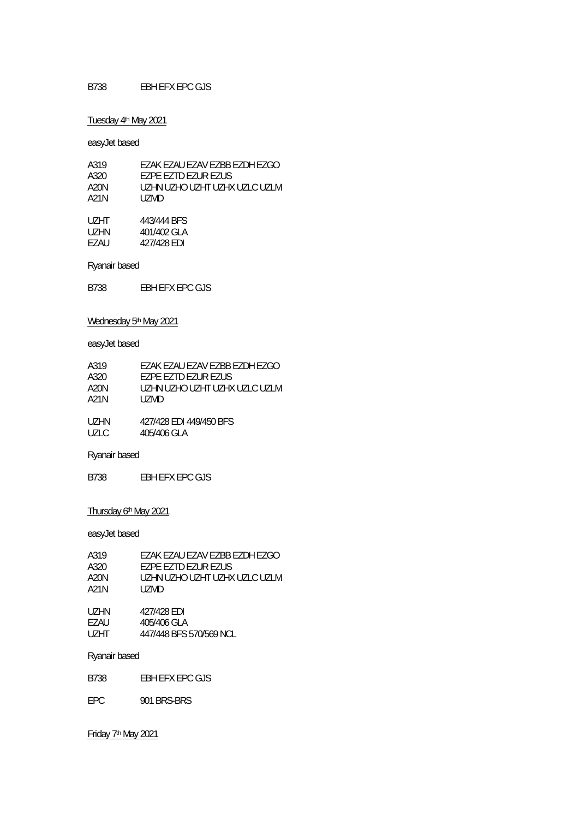#### Tuesday 4th May 2021

easyJet based

| A319 | FZAK FZAU FZAV FZBB FZDH FZGO |
|------|-------------------------------|
| A320 | EZPE EZTD EZUR EZUS           |
| A20N | UZHN UZHO UZHT UZHX UZLC UZLM |
| A21N | UZMD.                         |
| UZHT | 443/444 BFS                   |
| UZHN | 401/402 GLA                   |
| F7AU | 427/428 FDI                   |

Ryanair based

B738 EBH EFX EPC GJS

## Wednesday 5<sup>th</sup> May 2021

easyJet based

| A319    | FZAK FZAU FZAV FZBB FZDH FZGO |
|---------|-------------------------------|
| A320    | FZPF FZTD FZUR FZUS           |
| A20N    | UZHN UZHO UZHT UZHX UZLC UZLM |
| A21N    | UZMD.                         |
|         |                               |
| 117 LIN | $1271120$ CDI $1101150$ DEC   |

| UZHIN | 4277428 EDI 4497450 BFS |
|-------|-------------------------|
| UZLC  | 405/406 GLA             |

Ryanair based

B738 EBH EFX EPC GJS

## Thursday 6th May 2021

easyJet based

| A319              | EZAK EZAU EZAV EZBB EZDH EZGO |
|-------------------|-------------------------------|
| A320              | F7PF F7TD F7UR F7US           |
| A20N              | UZHN UZHO UZHT UZHX UZLC UZLM |
| A21N              | UZMD                          |
|                   |                               |
| UZHN              | 427/428 EDI                   |
| EZAU              | 405/406 GLA                   |
| U <sub>7</sub> HT | 447/448 BFS 570/569 NCL       |
|                   |                               |
|                   |                               |

Ryanair based

B738 EBH EFX EPC GJS

EPC 901 BRS-BRS

Friday 7th May 2021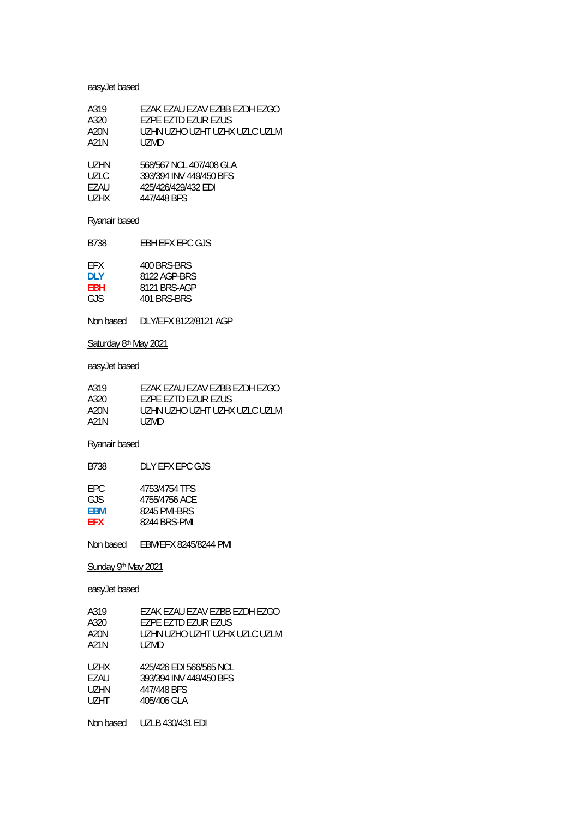## easyJet based

| A319  | EZAK EZAU EZAV EZBB EZDH EZGO |
|-------|-------------------------------|
| A320  | F7PF F7TD F7UR F7US           |
| A20N  | UZHN UZHO UZHT UZHX UZLC UZLM |
| A21N  | UZMD                          |
| UZHN  | 568/567 NCL 407/408 GLA       |
| UZLC. | 393/394 INV 449/450 BFS       |
| F7AU  | 425/426/429/432 EDI           |
| UZHX  | 447/448 BFS                   |

## Ryanair based

B738 EBH EFX EPC GJS

| FFX. | 400 BRS-BRS  |
|------|--------------|
| DI Y | 8122 AGP-BRS |
| FBH  | 8121 BRS-AGP |
| GJS. | 401 BRS-BRS  |
|      |              |

Non based DLY/EFX 8122/8121 AGP

## Saturday 8<sup>th</sup> May 2021

## easyJet based

| A319 | EZAK EZAU EZAV EZBB EZDH EZGO   |
|------|---------------------------------|
| A320 | FZPF FZTD FZUR FZUS             |
| A20N | UZHN UZHO UZHT UZHX UZI C UZI M |
| A21N | UZMD.                           |

## Ryanair based

| 4753/4754 TFS<br>FPC.<br>4755/4756 ACE<br>GJS.<br>8245 PMI-BRS<br><b>FBM</b><br>8244 BRS-PMI<br><b>FFX</b> | B738 | DI Y FFX FPC GJS |
|------------------------------------------------------------------------------------------------------------|------|------------------|
|                                                                                                            |      |                  |

Non based EBM/EFX 8245/8244 PMI

## Sunday 9<sup>th</sup> May 2021

| A319      | EZAK EZAU EZAV EZBB EZDH EZGO |
|-----------|-------------------------------|
| A320      | EZPE EZTD EZUR EZUS           |
| A20N      | UZHN UZHO UZHT UZHX UZLC UZLM |
| A21N      | UZMD.                         |
|           |                               |
| UZHX      | 425/426 EDI 566/565 NCL       |
| EZAU      | 393/394 INV 449/450 BFS       |
| UZHN      | 447/448 BFS                   |
| UZHT      | 405/406 GLA                   |
|           |                               |
| Non based | UZLB 430/431 EDI              |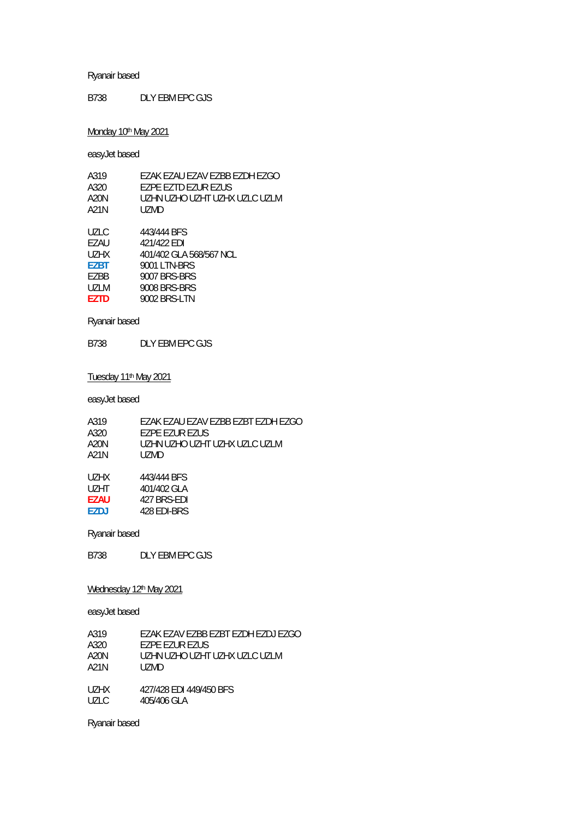B738 DLY EBM EPC GJS

## Monday 10<sup>th</sup> May 2021

easyJet based

| A319        | EZAK EZAU EZAV EZBB EZDH EZGO |
|-------------|-------------------------------|
| A320        | EZPE EZTD EZUR EZUS           |
| A20N        | UZHN UZHO UZHT UZHX UZLC UZLM |
| A21N        | UZMD                          |
|             |                               |
| UZLC        | 443/444 BFS                   |
| F7AU        | 421/422 EDI                   |
| <b>UZHX</b> | 401/402 GLA 568/567 NCL       |
| <b>EZBT</b> | 9001 LTN-BRS                  |
| EZBB        | 9007 BRS-BRS                  |
| <b>UZLM</b> | 9008 BRS-BRS                  |
| <b>F7TD</b> | 9002 BRS-LTN                  |
|             |                               |

Ryanair based

B738 DLY EBM EPC GJS

### Tuesday 11th May 2021

easyJet based

| A319        | EZAK EZAU EZAV EZBB EZBT EZDH EZGO |
|-------------|------------------------------------|
| A320        | EZPE EZUR EZUS                     |
| A20N        | UZHN UZHO UZHT UZHX UZLC UZLM      |
| A21N        | UZMD.                              |
|             |                                    |
| UZHX        | 443/444 BFS                        |
| UZHT.       | 401/402 GLA                        |
| <b>EZAU</b> | 427 BRS-EDI                        |
| <b>EZDJ</b> | 428 EDI-BRS                        |
|             |                                    |

Ryanair based

B738 DLY EBM EPC GJS

#### Wednesday 12<sup>th</sup> May 2021

easyJet based

| FZAK FZAV FZBB FZBT FZDH FZDJ FZGO |
|------------------------------------|
| EZPE EZUR EZUS                     |
| UZHN UZHO UZHT UZHX UZLC UZLM      |
| UZMD.                              |
|                                    |
| 427/428 FDI 449/450 BFS            |
| 405/406 GLA                        |
|                                    |

Ryanair based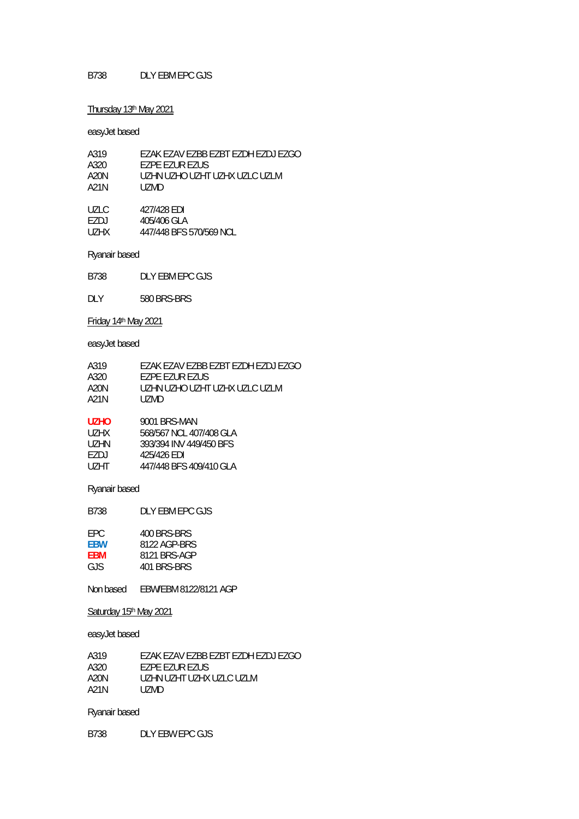#### B738 DLY EBM EPC GJS

#### Thursday 13<sup>th</sup> May 2021

#### easyJet based

| A319  | EZAK EZAV EZBB EZBT EZDH EZDJ EZGO |
|-------|------------------------------------|
| A320  | EZPE EZUR EZUS                     |
| A20N  | UZHN UZHO UZHT UZHX UZLC UZLM      |
| A21N  | UZMD.                              |
| UZLC. | 427/428 EDI                        |
| F7DJ  | 405/406 GLA                        |
| UZHX  | 447/448 BFS 570/569 NCL            |
|       |                                    |

Ryanair based

B738 DLY EBM EPC GJS

DLY 580 BRS-BRS

Friday 14th May 2021

#### easyJet based

| A319  | EZAK EZAV EZBB EZBT EZDH EZDJ EZGO     |
|-------|----------------------------------------|
| A320. | <b>FZPF FZUR FZUS</b>                  |
| A20N  | LIZHN LIZHO LIZHT LIZHX LIZI C. LIZI M |
| A21N  | UZMD.                                  |
|       |                                        |

| UZHO. | 9001 BRS-MAN            |
|-------|-------------------------|
| UZHX. | 568/567 NCL 407/408 GLA |
| UZHN. | 393/394 INV 449/450 BFS |
| F7DJ  | 425/426 FDI             |
| UZHT. | 447/448 BFS 409/410 GLA |

#### Ryanair based

B738 DLY EBM EPC GJS

| FPC. | 400 BRS-BRS  |
|------|--------------|
| FBW  | 8122 AGP-BRS |
| FBM  | 8121 BRS-AGP |
| GJS. | 401 BRS-BRS  |
|      |              |

Non based EBW/EBM 8122/8121 AGP

#### Saturday 15th May 2021

#### easyJet based

A319 EZAK EZAV EZBB EZBT EZDH EZDJ EZGO<br>A320 EZPE EZUR EZUS A320 EZPE EZUR EZUS<br>A20N UZHN UZHT UZHX A20N UZHN UZHT UZHX UZLC UZLM<br>A21N UZMD UZMD

#### Ryanair based

B738 DLY EBW EPC GJS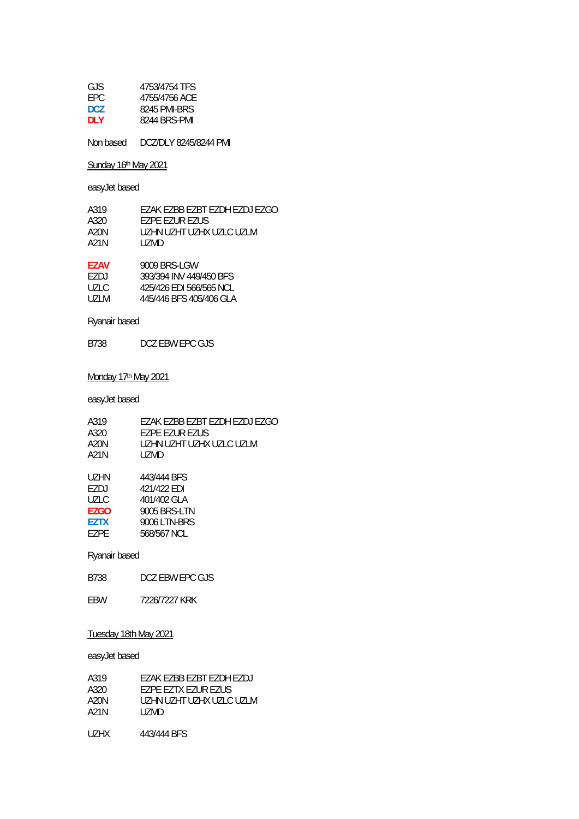| 4753/4754 TFS |
|---------------|
| 4755/4756 ACE |
| 8245 PMI-BRS  |
| 8244 BRS-PMI  |
|               |

Non based DCZ/DLY 8245/8244 PMI

Sunday 16<sup>th</sup> May 2021

easyJet based

| A319 | FZAK FZBB FZBT FZDH FZDJ FZGO |
|------|-------------------------------|
| A320 | <b>FZPF FZUR FZUS</b>         |
| A20N | UZHN UZHT UZHX UZLC UZLM      |
| A21N | UZMD.                         |
|      |                               |

| <b>F7AV</b> | 9009 BRS-LGW            |
|-------------|-------------------------|
| EZD I       | 393/394 INV 449/450 BFS |
| UZLC.       | 425/426 EDI 566/565 NCL |
| UZLM.       | 445/446 BFS 405/406 GLA |
|             |                         |

Ryanair based

B738 DCZ EBW EPC GJS

### Monday 17<sup>th</sup> May 2021

easyJet based

| A319        | EZAK EZBB EZBT EZDH EZDJ EZGO |
|-------------|-------------------------------|
| A320        | EZPE EZUR EZUS                |
| A20N        | UZHN UZHT UZHX UZLC UZLM      |
| A21N        | UZMD.                         |
|             |                               |
| UZHN        | 443/444 BFS                   |
| EZDJ        | 421/422 EDI                   |
| UZLC        | 401/402 GLA                   |
| EZGO        | 9005 BRS-LTN                  |
| <b>EZTX</b> | 9006 LTN-BRS                  |
| F7PF        | 568/567 NCL                   |
|             |                               |
|             |                               |

## Ryanair based

B738 DCZ EBW EPC GJS

EBW 7226/7227 KRK

### Tuesday 18th May 2021

| A319   | F7AK F7BB F7BT F7DH F7DJ |
|--------|--------------------------|
| A320   | F7PF F7TX F7UR F7US      |
| A20N   | UZHN UZHT UZHX UZLC UZLM |
| A21N   | UZMD.                    |
| LIZHX. | 443/444 BFS              |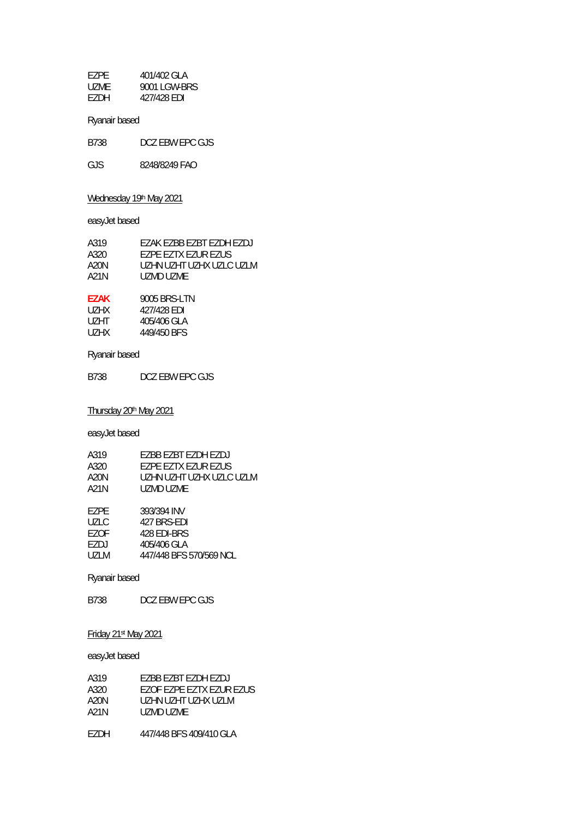| F7PF  | 401/402 GLA  |
|-------|--------------|
| UZME. | 9001 LGW-BRS |
| F7DH  | 427/428 EDI  |

| DCZ EBW EPC GJS<br>B738 |
|-------------------------|
|-------------------------|

GJS 8248/8249 FAO

## Wednesday 19th May 2021

easyJet based

| A319  | EZAK EZBB EZBT EZDH EZDJ |
|-------|--------------------------|
| A320. | F7PF F7TX F7UR F7US      |
| A20N  | UZHN UZHT UZHX UZLC UZLM |
| A21N  | UZMD UZME                |
|       |                          |

| 9005 BRS-LTN |
|--------------|
| 427/428 EDI  |
| 405/406 GLA  |
| 449/450 BFS  |
|              |

## Ryanair based

B738 DCZ EBW EPC GJS

Thursday 20<sup>th</sup> May 2021

easyJet based

| A319        | <b>F7BB F7BT F7DH F7DJ</b> |
|-------------|----------------------------|
| A320        | EZPE EZTX EZUR EZUS        |
| A20N        | UZHN UZHT UZHX UZLC UZLM   |
| A21N        | UZMD UZME                  |
|             |                            |
| EZPE        | 393/394 INV                |
| UZLC        | 427 BRS-FDI                |
| EZOF        | 428 EDI-BRS                |
| EZDJ        | 405/406 GLA                |
| <b>UZLM</b> | 447/448 BFS 570/569 NCL    |

## Ryanair based

B738 DCZ EBW EPC GJS

### Friday 21st May 2021

| A319  | F7BB F7BT F7DH F7DJ      |
|-------|--------------------------|
| A320  | EZOF EZPE EZTX EZUR EZUS |
| A20N  | UZHN UZHT UZHX UZI M     |
| A21N  | UZMD UZMF                |
| EZDH. | 447/448 BFS 409/410 GLA  |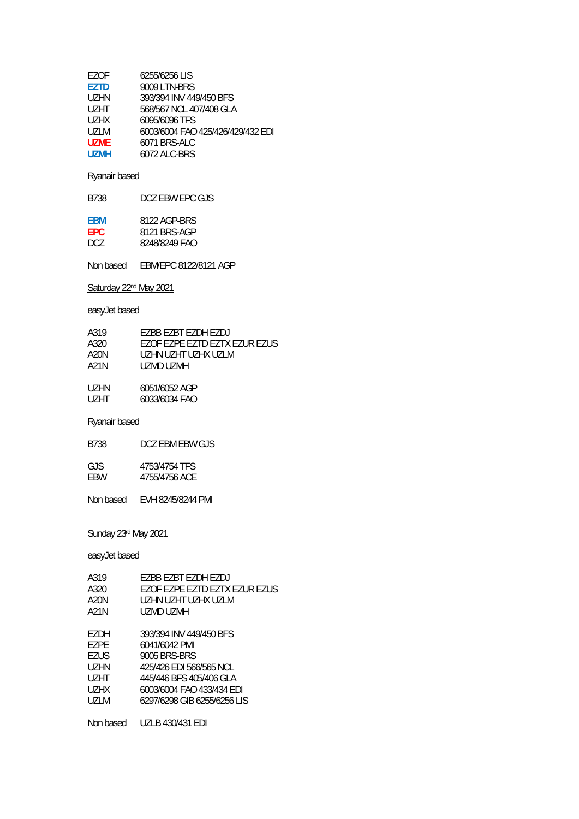| EZOF              | 6255/6256 LIS                     |
|-------------------|-----------------------------------|
| <b>F7TD</b>       | 9009 LTN-BRS                      |
| UZHN              | 393/394 INV 449/450 BFS           |
| U <sub>7</sub> HT | 568/567 NCL 407/408 GLA           |
| UZHX              | 6095/6096 TFS                     |
| UZI M             | 6003/6004 FAO 425/426/429/432 EDI |
| UZMF              | 6071 BRS-ALC                      |
| U7MH              | 6072 ALC-BRS                      |
|                   |                                   |

| <b>FBM</b> | 8122 AGP-BRS  |
|------------|---------------|
| FPC.       | 8121 BRS-AGP  |
| DCZ.       | 8248/8249 FAO |

Non based EBM/EPC 8122/8121 AGP

## Saturday 22<sup>nd</sup> May 2021

## easyJet based

| A319  | <b>F7BB F7BT F7DH F7DJ</b>    |
|-------|-------------------------------|
| A320  | EZOF EZPE EZTD EZTX EZUR EZUS |
| A20N  | UZHN UZHT UZHX UZLM           |
| A21N  | UZMD UZMH                     |
|       |                               |
| UZHN. | 6051/6052 AGP                 |
| UZHT. | 6033/6034 FAO                 |

#### Ryanair based

| GJS. | 4753/4754 TFS |
|------|---------------|
| FBW  | 4755/4756 ACE |

Non based EVH 8245/8244 PMI

## Sunday 23rd May 2021

| A319              | F7BB F7BT F7DH F7DJ            |
|-------------------|--------------------------------|
| A320              | FZOF FZPF FZTD FZTX FZUR FZUS. |
| A20N              | UZHN UZHT UZHX UZI M           |
| A21N              | UZMD UZMH                      |
|                   |                                |
| F7DH              | 393/394 INV 449/450 BES        |
| F7PF              | 6041/6042 PMI                  |
| F7US              | 9005 BRS-BRS                   |
| UZHN              | 425/426 FDI 566/565 NCL        |
| U <sub>7</sub> HT | 445/446 BFS 405/406 GLA        |
| UZHX              | 6003/6004 FAO 433/434 FDI      |
| UZLM              | 6297/6298 GIB 6255/6256 LIS    |
|                   |                                |
| Non based         | UZLB 430/431 EDI               |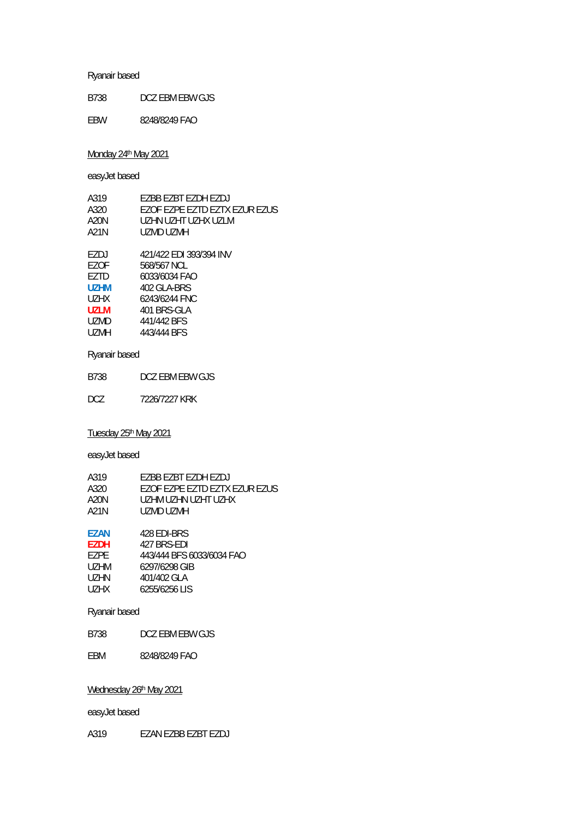B738 DCZ EBM EBW GJS

EBW 8248/8249 FAO

### Monday 24<sup>th</sup> May 2021

easyJet based

| A319  | F7BB F7BT F7DH F7DJ            |
|-------|--------------------------------|
| A320  | FZOF FZPF FZTD FZTX FZUR FZUS. |
| A20N  | UZHN UZHT UZHX UZI M           |
| A21N  | UZMD UZMH                      |
|       |                                |
| F7DJ  | 421/422 EDI 393/394 INV        |
| F70F  | 568/567 NCL                    |
| F7TD  | 6033/6034 FAO                  |
| U7HM  | 402 GI A-BRS                   |
| UZHX  | 6243/6244 FNC                  |
| UZI M | 401 BRS-GLA                    |
| UZMD  | 441/442 BFS                    |
| UZMH  | 443/444 BFS                    |
|       |                                |

## Ryanair based

B738 DCZ EBM EBW GJS

DCZ 7226/7227 KRK

## Tuesday 25th May 2021

easyJet based

| A319 | EZBB EZBT EZDH EZDJ           |
|------|-------------------------------|
| A320 | FZOF FZPF FZTD FZTX FZUR FZUS |
| A20N | UZHM UZHN UZHT UZHX           |
| A21N | UZMD UZMH                     |
|      |                               |

| F7AN  | 428 FDI-BRS               |
|-------|---------------------------|
| F7DH  | 427 BRS-FDI               |
| F7PF. | 443/444 BFS 6033/6034 FAO |
| UZHM  | 6297/6298 GIB             |
| UZHN  | 401/402 GLA               |
| UZHX. | 6255/6256 LIS             |

### Ryanair based

B738 DCZ EBM EBW GJS

EBM 8248/8249 FAO

#### Wednesday 26<sup>th</sup> May 2021

easyJet based

A319 EZAN EZBB EZBT EZDJ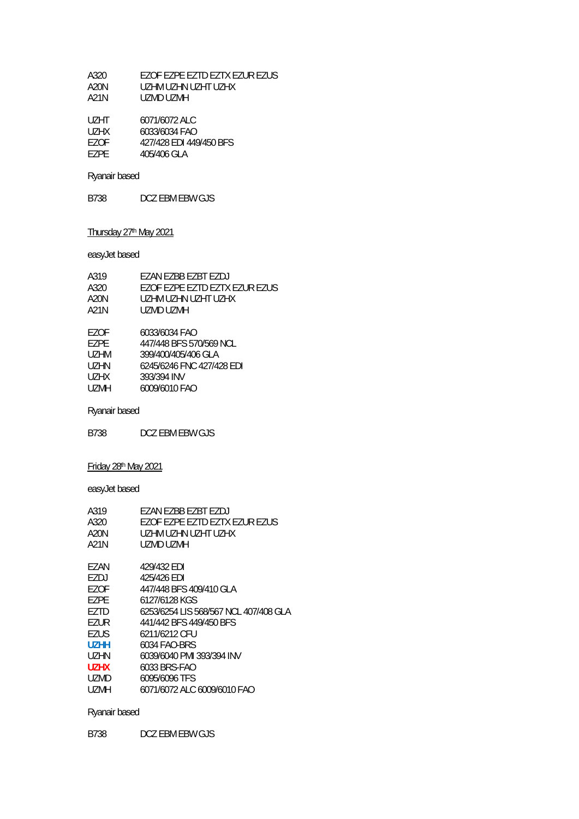| A320 | FZOF FZPF FZTD FZTX FZUR FZUS |
|------|-------------------------------|
| A20N | UZHM UZHN UZHT UZHX           |
| A21N | UZMD UZMH.                    |

| UZHT. | 6071/6072 ALC           |
|-------|-------------------------|
| UZHX  | 6033/6034 FAO           |
| F70F  | 427/428 EDI 449/450 BFS |
| F7PF  | 405/406 GLA             |

B738 DCZ EBM EBW GJS

# Thursday 27<sup>th</sup> May 2021

easyJet based

| A319        | EZAN EZBB EZBT EZDJ           |
|-------------|-------------------------------|
| A320        | EZOF EZPE EZTD EZTX EZUR EZUS |
| A20N        | UZHM UZHN UZHT UZHX           |
| A21N        | UZMD UZMH                     |
| F70F        | 6033/6034 FAO                 |
| F7PF        | 447/448 BFS 570/569 NCL       |
| UZHM        | 399/400/405/406 GLA           |
| UZHN        | 6245/6246 FNC 427/428 EDI     |
| UZHX        | 393/394 INV                   |
| <b>UZMH</b> | 6009/6010 FAO                 |
|             |                               |

Ryanair based

B738 DCZ EBM EBW GJS

# Friday 28th May 2021

easyJet based

| F7AN F7BB F7BT F7DJ                   |
|---------------------------------------|
| EZOF EZPE EZTD EZTX EZUR EZUS         |
| UZHM UZHN UZHT UZHX                   |
| UZMD UZMH                             |
| 429/432 FDI                           |
| 425/426 FDI                           |
| 447/448 BFS 409/410 GLA               |
| 6127/6128 KGS                         |
| 6253/6254 LIS 568/567 NCL 407/408 GLA |
| 441/442 BFS 449/450 BFS               |
| 6211/6212 CFU                         |
| 6034 FAO-BRS                          |
| 6039/6040 PMI 393/394 INV             |
| 6033 BRS-FAO                          |
| 6095/6096 TFS                         |
| 6071/6072 ALC 6009/6010 FAO           |
|                                       |

## Ryanair based

B738 DCZ EBM EBW GJS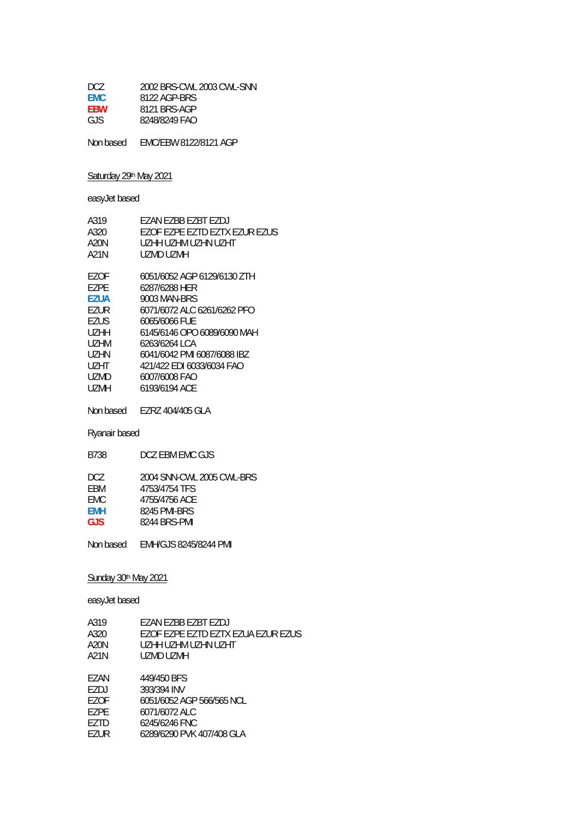| DCZ.       | 2002 BRS-CWL 2003 CWL-SNN |
|------------|---------------------------|
| <b>FMC</b> | 8122 AGP-BRS              |
| <b>FBW</b> | 8121 BRS-AGP              |
| GJS.       | 8248/8249 FAO             |
|            |                           |

Non based EMC/EBW 8122/8121 AGP

### Saturday 29th May 2021

easyJet based

| A319<br>A320<br>A20N<br>A21N | F7AN F7RR F7RT F7D I<br>FZOF FZPF FZTD FZTX FZUR FZUS<br>UZHH UZHM UZHN UZHT<br>UZMD UZMH |
|------------------------------|-------------------------------------------------------------------------------------------|
| F70F<br>F7PF                 | 6051/6052 AGP 6129/6130 ZTH                                                               |
| F7UA                         | 6287/6288 HFR<br>9003 MAN-BRS                                                             |
| F7UR                         | 6071/6072 ALC 6261/6262 PFO                                                               |
| F7US                         | 6065/6066 FUF                                                                             |
| UZHH                         | 6145/6146 OPO 6089/6090 MAH                                                               |
| UZHM                         | 6263/6264 I C.A                                                                           |
| UZHN                         | 6041/6042 PMI 6087/6088 IBZ                                                               |
| UZHT                         | 421/422 EDI 6033/6034 FAO                                                                 |
| <b>UZMD</b>                  | 6007/6008 FAO                                                                             |
| LIZMH                        | 6193/6194 ACF                                                                             |
|                              |                                                                                           |

Non based EZRZ 404/405 GLA

## Ryanair based

B738 DCZ EBM EMC GJS

| DCZ.       | 2004 SNN-CWL 2005 CWL-BRS |
|------------|---------------------------|
| FBM        | 4753/4754 TFS             |
| FMC.       | 4755/4756 ACE             |
| <b>FMH</b> | 8245 PMI-BRS              |
| GJS.       | 8244 BRS-PMI              |

Non based EMH/GJS 8245/8244 PMI

## Sunday 30th May 2021

### easyJet based

| A319 | FZAN FZBB FZBT FZDJ                |
|------|------------------------------------|
| A320 | EZOF EZPE EZTD EZTX EZUA EZUR EZUS |
| A20N | UZHH UZHM UZHN UZHT                |
| A21N | UZMD UZMH                          |
|      |                                    |
| F7AN | 449/450 BFS                        |
| F7DJ | 393/394 INV                        |
| F70F | 6051/6052 AGP 566/565 NCL          |
| F7PF | 6071/6072 ALC                      |

EZTD 6245/6246 FNC

| EZUR | 6289/6290 PVK 407/408 GLA |  |
|------|---------------------------|--|
|      |                           |  |